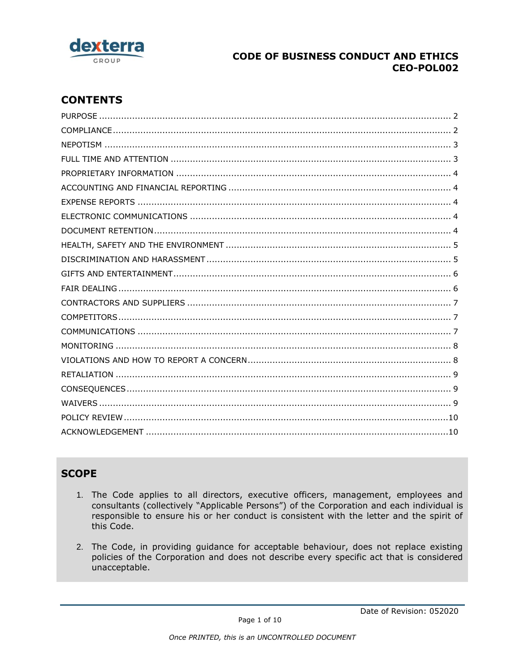

# **CONTENTS**

# **SCOPE**

- 1. The Code applies to all directors, executive officers, management, employees and consultants (collectively "Applicable Persons") of the Corporation and each individual is responsible to ensure his or her conduct is consistent with the letter and the spirit of this Code.
- 2. The Code, in providing guidance for acceptable behaviour, does not replace existing policies of the Corporation and does not describe every specific act that is considered unacceptable.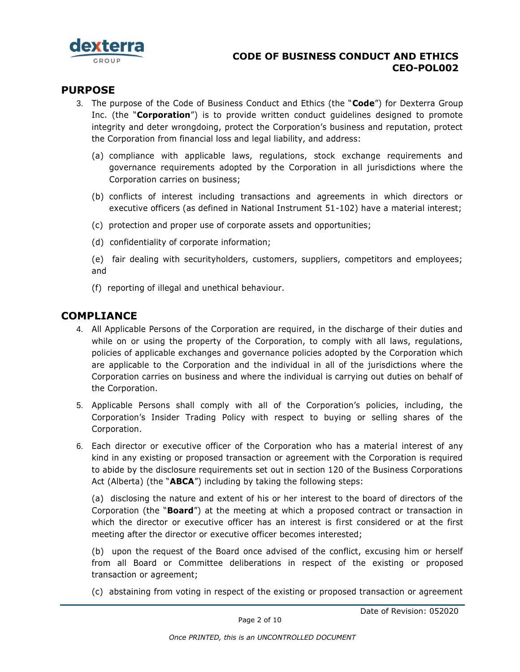

### <span id="page-1-0"></span>**PURPOSE**

- 3. The purpose of the Code of Business Conduct and Ethics (the "**Code**") for Dexterra Group Inc. (the "**Corporation**") is to provide written conduct guidelines designed to promote integrity and deter wrongdoing, protect the Corporation's business and reputation, protect the Corporation from financial loss and legal liability, and address:
	- (a) compliance with applicable laws, regulations, stock exchange requirements and governance requirements adopted by the Corporation in all jurisdictions where the Corporation carries on business;
	- (b) conflicts of interest including transactions and agreements in which directors or executive officers (as defined in National Instrument 51-102) have a material interest;
	- (c) protection and proper use of corporate assets and opportunities;
	- (d) confidentiality of corporate information;
	- (e) fair dealing with securityholders, customers, suppliers, competitors and employees; and
	- (f) reporting of illegal and unethical behaviour.

#### <span id="page-1-1"></span>**COMPLIANCE**

- 4. All Applicable Persons of the Corporation are required, in the discharge of their duties and while on or using the property of the Corporation, to comply with all laws, regulations, policies of applicable exchanges and governance policies adopted by the Corporation which are applicable to the Corporation and the individual in all of the jurisdictions where the Corporation carries on business and where the individual is carrying out duties on behalf of the Corporation.
- 5. Applicable Persons shall comply with all of the Corporation's policies, including, the Corporation's Insider Trading Policy with respect to buying or selling shares of the Corporation.
- 6. Each director or executive officer of the Corporation who has a material interest of any kind in any existing or proposed transaction or agreement with the Corporation is required to abide by the disclosure requirements set out in section 120 of the Business Corporations Act (Alberta) (the "**ABCA**") including by taking the following steps:

(a) disclosing the nature and extent of his or her interest to the board of directors of the Corporation (the "**Board**") at the meeting at which a proposed contract or transaction in which the director or executive officer has an interest is first considered or at the first meeting after the director or executive officer becomes interested;

(b) upon the request of the Board once advised of the conflict, excusing him or herself from all Board or Committee deliberations in respect of the existing or proposed transaction or agreement;

(c) abstaining from voting in respect of the existing or proposed transaction or agreement

Date of Revision: 052020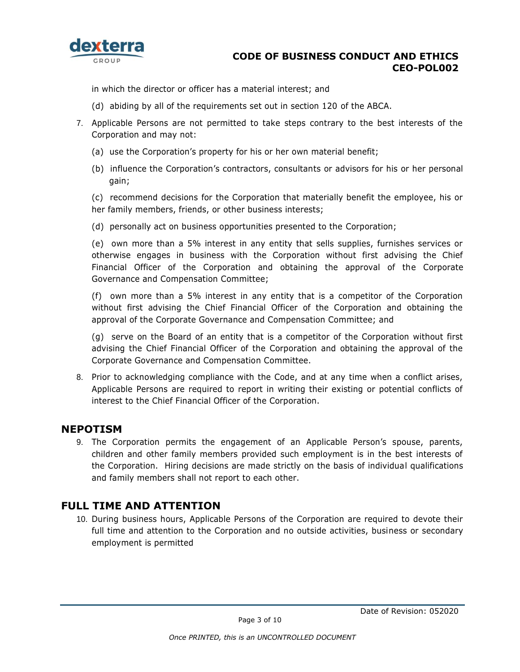

in which the director or officer has a material interest; and

- (d) abiding by all of the requirements set out in section 120 of the ABCA.
- 7. Applicable Persons are not permitted to take steps contrary to the best interests of the Corporation and may not:
	- (a) use the Corporation's property for his or her own material benefit;
	- (b) influence the Corporation's contractors, consultants or advisors for his or her personal gain;

(c) recommend decisions for the Corporation that materially benefit the employee, his or her family members, friends, or other business interests;

(d) personally act on business opportunities presented to the Corporation;

(e) own more than a 5% interest in any entity that sells supplies, furnishes services or otherwise engages in business with the Corporation without first advising the Chief Financial Officer of the Corporation and obtaining the approval of the Corporate Governance and Compensation Committee;

(f) own more than a 5% interest in any entity that is a competitor of the Corporation without first advising the Chief Financial Officer of the Corporation and obtaining the approval of the Corporate Governance and Compensation Committee; and

(g) serve on the Board of an entity that is a competitor of the Corporation without first advising the Chief Financial Officer of the Corporation and obtaining the approval of the Corporate Governance and Compensation Committee.

8. Prior to acknowledging compliance with the Code, and at any time when a conflict arises, Applicable Persons are required to report in writing their existing or potential conflicts of interest to the Chief Financial Officer of the Corporation.

#### <span id="page-2-0"></span>**NEPOTISM**

9. The Corporation permits the engagement of an Applicable Person's spouse, parents, children and other family members provided such employment is in the best interests of the Corporation. Hiring decisions are made strictly on the basis of individual qualifications and family members shall not report to each other.

### <span id="page-2-1"></span>**FULL TIME AND ATTENTION**

10. During business hours, Applicable Persons of the Corporation are required to devote their full time and attention to the Corporation and no outside activities, business or secondary employment is permitted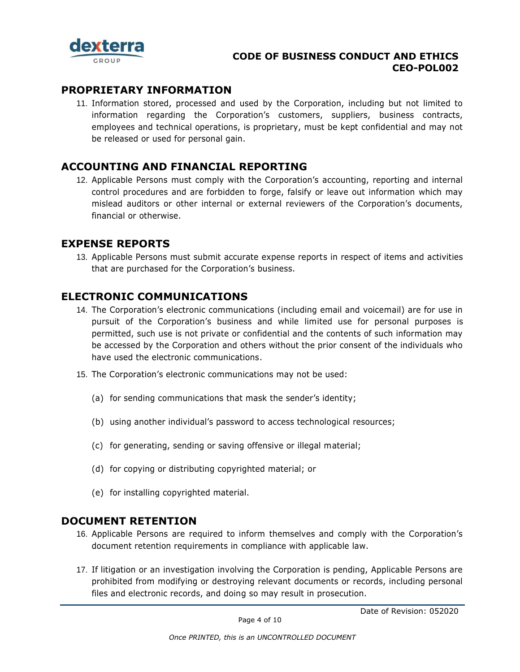

### <span id="page-3-0"></span>**PROPRIETARY INFORMATION**

11. Information stored, processed and used by the Corporation, including but not limited to information regarding the Corporation's customers, suppliers, business contracts, employees and technical operations, is proprietary, must be kept confidential and may not be released or used for personal gain.

### <span id="page-3-1"></span>**ACCOUNTING AND FINANCIAL REPORTING**

12. Applicable Persons must comply with the Corporation's accounting, reporting and internal control procedures and are forbidden to forge, falsify or leave out information which may mislead auditors or other internal or external reviewers of the Corporation's documents, financial or otherwise.

### <span id="page-3-2"></span>**EXPENSE REPORTS**

13. Applicable Persons must submit accurate expense reports in respect of items and activities that are purchased for the Corporation's business.

### <span id="page-3-3"></span>**ELECTRONIC COMMUNICATIONS**

- 14. The Corporation's electronic communications (including email and voicemail) are for use in pursuit of the Corporation's business and while limited use for personal purposes is permitted, such use is not private or confidential and the contents of such information may be accessed by the Corporation and others without the prior consent of the individuals who have used the electronic communications.
- 15. The Corporation's electronic communications may not be used:
	- (a) for sending communications that mask the sender's identity;
	- (b) using another individual's password to access technological resources;
	- (c) for generating, sending or saving offensive or illegal material;
	- (d) for copying or distributing copyrighted material; or
	- (e) for installing copyrighted material.

### <span id="page-3-4"></span>**DOCUMENT RETENTION**

- 16. Applicable Persons are required to inform themselves and comply with the Corporation's document retention requirements in compliance with applicable law.
- 17. If litigation or an investigation involving the Corporation is pending, Applicable Persons are prohibited from modifying or destroying relevant documents or records, including personal files and electronic records, and doing so may result in prosecution.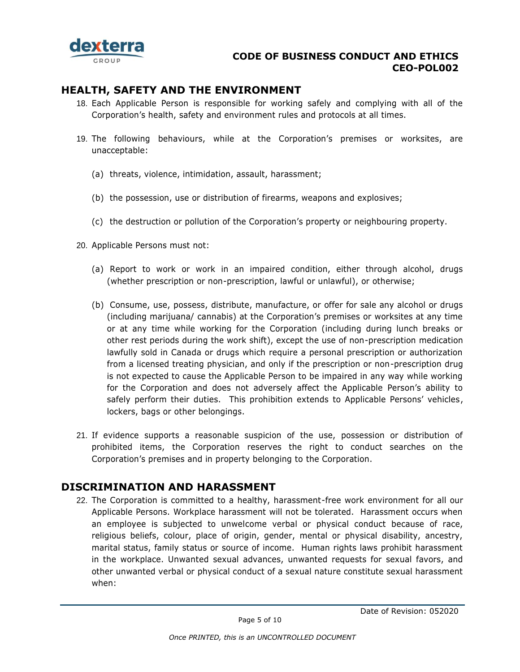

### <span id="page-4-0"></span>**HEALTH, SAFETY AND THE ENVIRONMENT**

- 18. Each Applicable Person is responsible for working safely and complying with all of the Corporation's health, safety and environment rules and protocols at all times.
- 19. The following behaviours, while at the Corporation's premises or worksites, are unacceptable:
	- (a) threats, violence, intimidation, assault, harassment;
	- (b) the possession, use or distribution of firearms, weapons and explosives;
	- (c) the destruction or pollution of the Corporation's property or neighbouring property.
- 20. Applicable Persons must not:
	- (a) Report to work or work in an impaired condition, either through alcohol, drugs (whether prescription or non-prescription, lawful or unlawful), or otherwise;
	- (b) Consume, use, possess, distribute, manufacture, or offer for sale any alcohol or drugs (including marijuana/ cannabis) at the Corporation's premises or worksites at any time or at any time while working for the Corporation (including during lunch breaks or other rest periods during the work shift), except the use of non-prescription medication lawfully sold in Canada or drugs which require a personal prescription or authorization from a licensed treating physician, and only if the prescription or non-prescription drug is not expected to cause the Applicable Person to be impaired in any way while working for the Corporation and does not adversely affect the Applicable Person's ability to safely perform their duties. This prohibition extends to Applicable Persons' vehicles, lockers, bags or other belongings.
- 21. If evidence supports a reasonable suspicion of the use, possession or distribution of prohibited items, the Corporation reserves the right to conduct searches on the Corporation's premises and in property belonging to the Corporation.

## <span id="page-4-1"></span>**DISCRIMINATION AND HARASSMENT**

22. The Corporation is committed to a healthy, harassment-free work environment for all our Applicable Persons. Workplace harassment will not be tolerated. Harassment occurs when an employee is subjected to unwelcome verbal or physical conduct because of race, religious beliefs, colour, place of origin, gender, mental or physical disability, ancestry, marital status, family status or source of income. Human rights laws prohibit harassment in the workplace. Unwanted sexual advances, unwanted requests for sexual favors, and other unwanted verbal or physical conduct of a sexual nature constitute sexual harassment when: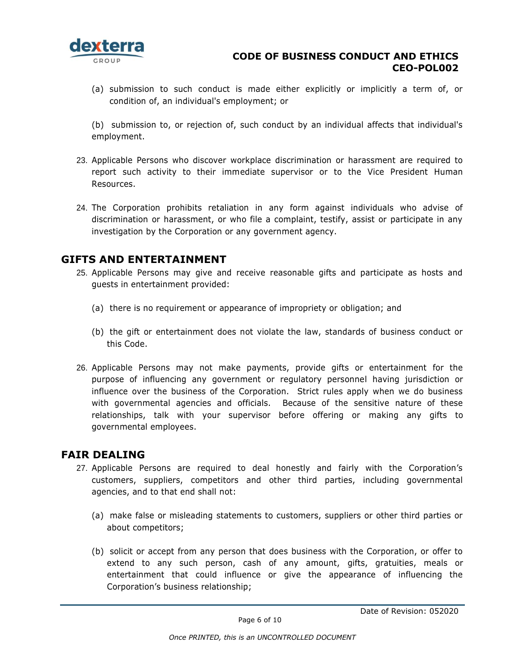

(a) submission to such conduct is made either explicitly or implicitly a term of, or condition of, an individual's employment; or

(b) submission to, or rejection of, such conduct by an individual affects that individual's employment.

- 23. Applicable Persons who discover workplace discrimination or harassment are required to report such activity to their immediate supervisor or to the Vice President Human Resources.
- 24. The Corporation prohibits retaliation in any form against individuals who advise of discrimination or harassment, or who file a complaint, testify, assist or participate in any investigation by the Corporation or any government agency.

#### <span id="page-5-0"></span>**GIFTS AND ENTERTAINMENT**

- 25. Applicable Persons may give and receive reasonable gifts and participate as hosts and guests in entertainment provided:
	- (a) there is no requirement or appearance of impropriety or obligation; and
	- (b) the gift or entertainment does not violate the law, standards of business conduct or this Code.
- 26. Applicable Persons may not make payments, provide gifts or entertainment for the purpose of influencing any government or regulatory personnel having jurisdiction or influence over the business of the Corporation. Strict rules apply when we do business with governmental agencies and officials. Because of the sensitive nature of these relationships, talk with your supervisor before offering or making any gifts to governmental employees.

#### <span id="page-5-1"></span>**FAIR DEALING**

- 27. Applicable Persons are required to deal honestly and fairly with the Corporation's customers, suppliers, competitors and other third parties, including governmental agencies, and to that end shall not:
	- (a) make false or misleading statements to customers, suppliers or other third parties or about competitors;
	- (b) solicit or accept from any person that does business with the Corporation, or offer to extend to any such person, cash of any amount, gifts, gratuities, meals or entertainment that could influence or give the appearance of influencing the Corporation's business relationship;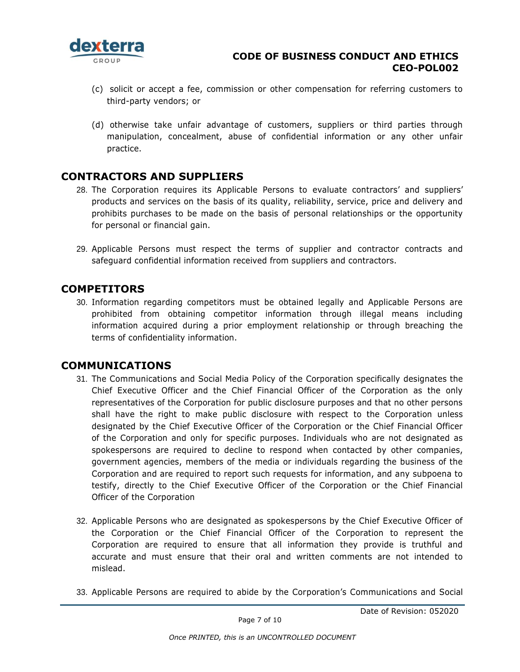

- (c) solicit or accept a fee, commission or other compensation for referring customers to third-party vendors; or
- (d) otherwise take unfair advantage of customers, suppliers or third parties through manipulation, concealment, abuse of confidential information or any other unfair practice.

### <span id="page-6-0"></span>**CONTRACTORS AND SUPPLIERS**

- 28. The Corporation requires its Applicable Persons to evaluate contractors' and suppliers' products and services on the basis of its quality, reliability, service, price and delivery and prohibits purchases to be made on the basis of personal relationships or the opportunity for personal or financial gain.
- 29. Applicable Persons must respect the terms of supplier and contractor contracts and safeguard confidential information received from suppliers and contractors.

### <span id="page-6-1"></span>**COMPETITORS**

30. Information regarding competitors must be obtained legally and Applicable Persons are prohibited from obtaining competitor information through illegal means including information acquired during a prior employment relationship or through breaching the terms of confidentiality information.

### <span id="page-6-2"></span>**COMMUNICATIONS**

- 31. The Communications and Social Media Policy of the Corporation specifically designates the Chief Executive Officer and the Chief Financial Officer of the Corporation as the only representatives of the Corporation for public disclosure purposes and that no other persons shall have the right to make public disclosure with respect to the Corporation unless designated by the Chief Executive Officer of the Corporation or the Chief Financial Officer of the Corporation and only for specific purposes. Individuals who are not designated as spokespersons are required to decline to respond when contacted by other companies, government agencies, members of the media or individuals regarding the business of the Corporation and are required to report such requests for information, and any subpoena to testify, directly to the Chief Executive Officer of the Corporation or the Chief Financial Officer of the Corporation
- 32. Applicable Persons who are designated as spokespersons by the Chief Executive Officer of the Corporation or the Chief Financial Officer of the Corporation to represent the Corporation are required to ensure that all information they provide is truthful and accurate and must ensure that their oral and written comments are not intended to mislead.
- 33. Applicable Persons are required to abide by the Corporation's Communications and Social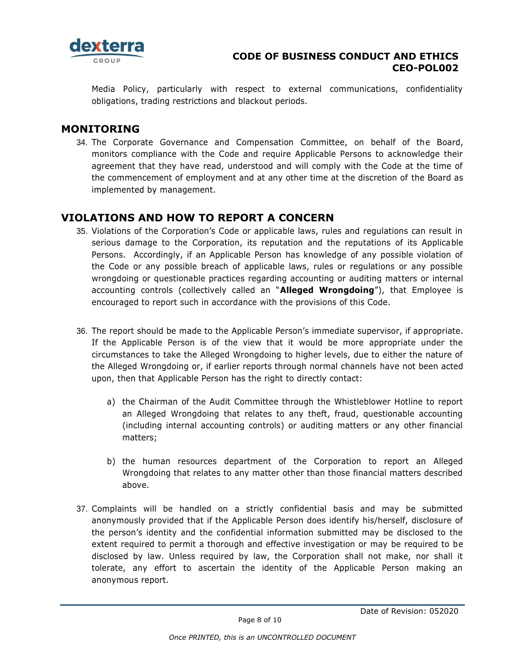

Media Policy, particularly with respect to external communications, confidentiality obligations, trading restrictions and blackout periods.

### <span id="page-7-0"></span>**MONITORING**

34. The Corporate Governance and Compensation Committee, on behalf of the Board, monitors compliance with the Code and require Applicable Persons to acknowledge their agreement that they have read, understood and will comply with the Code at the time of the commencement of employment and at any other time at the discretion of the Board as implemented by management.

## <span id="page-7-1"></span>**VIOLATIONS AND HOW TO REPORT A CONCERN**

- 35. Violations of the Corporation's Code or applicable laws, rules and regulations can result in serious damage to the Corporation, its reputation and the reputations of its Applicable Persons. Accordingly, if an Applicable Person has knowledge of any possible violation of the Code or any possible breach of applicable laws, rules or regulations or any possible wrongdoing or questionable practices regarding accounting or auditing matters or internal accounting controls (collectively called an "**Alleged Wrongdoing**"), that Employee is encouraged to report such in accordance with the provisions of this Code.
- 36. The report should be made to the Applicable Person's immediate supervisor, if appropriate. If the Applicable Person is of the view that it would be more appropriate under the circumstances to take the Alleged Wrongdoing to higher levels, due to either the nature of the Alleged Wrongdoing or, if earlier reports through normal channels have not been acted upon, then that Applicable Person has the right to directly contact:
	- a) the Chairman of the Audit Committee through the Whistleblower Hotline to report an Alleged Wrongdoing that relates to any theft, fraud, questionable accounting (including internal accounting controls) or auditing matters or any other financial matters;
	- b) the human resources department of the Corporation to report an Alleged Wrongdoing that relates to any matter other than those financial matters described above.
- 37. Complaints will be handled on a strictly confidential basis and may be submitted anonymously provided that if the Applicable Person does identify his/herself, disclosure of the person's identity and the confidential information submitted may be disclosed to the extent required to permit a thorough and effective investigation or may be required to be disclosed by law. Unless required by law, the Corporation shall not make, nor shall it tolerate, any effort to ascertain the identity of the Applicable Person making an anonymous report.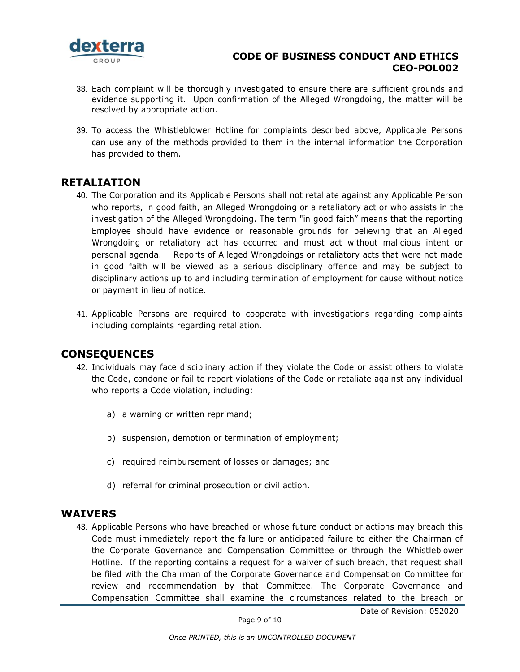

- 38. Each complaint will be thoroughly investigated to ensure there are sufficient grounds and evidence supporting it. Upon confirmation of the Alleged Wrongdoing, the matter will be resolved by appropriate action.
- 39. To access the Whistleblower Hotline for complaints described above, Applicable Persons can use any of the methods provided to them in the internal information the Corporation has provided to them.

### <span id="page-8-0"></span>**RETALIATION**

- 40. The Corporation and its Applicable Persons shall not retaliate against any Applicable Person who reports, in good faith, an Alleged Wrongdoing or a retaliatory act or who assists in the investigation of the Alleged Wrongdoing. The term "in good faith" means that the reporting Employee should have evidence or reasonable grounds for believing that an Alleged Wrongdoing or retaliatory act has occurred and must act without malicious intent or personal agenda. Reports of Alleged Wrongdoings or retaliatory acts that were not made in good faith will be viewed as a serious disciplinary offence and may be subject to disciplinary actions up to and including termination of employment for cause without notice or payment in lieu of notice.
- 41. Applicable Persons are required to cooperate with investigations regarding complaints including complaints regarding retaliation.

### <span id="page-8-1"></span>**CONSEQUENCES**

- 42. Individuals may face disciplinary action if they violate the Code or assist others to violate the Code, condone or fail to report violations of the Code or retaliate against any individual who reports a Code violation, including:
	- a) a warning or written reprimand;
	- b) suspension, demotion or termination of employment;
	- c) required reimbursement of losses or damages; and
	- d) referral for criminal prosecution or civil action.

#### <span id="page-8-2"></span>**WAIVERS**

43. Applicable Persons who have breached or whose future conduct or actions may breach this Code must immediately report the failure or anticipated failure to either the Chairman of the Corporate Governance and Compensation Committee or through the Whistleblower Hotline. If the reporting contains a request for a waiver of such breach, that request shall be filed with the Chairman of the Corporate Governance and Compensation Committee for review and recommendation by that Committee. The Corporate Governance and Compensation Committee shall examine the circumstances related to the breach or